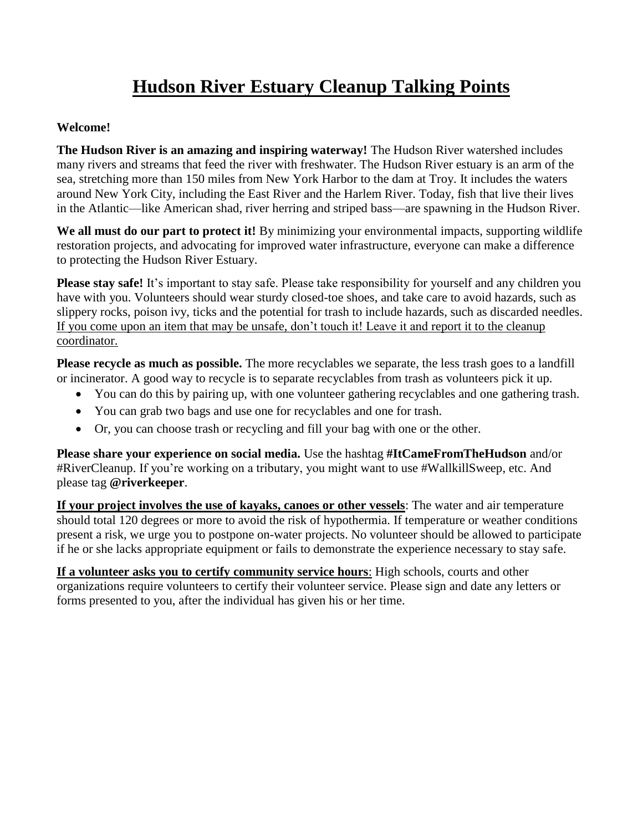# **Hudson River Estuary Cleanup Talking Points**

#### **Welcome!**

**The Hudson River is an amazing and inspiring waterway!** The Hudson River watershed includes many rivers and streams that feed the river with freshwater. The Hudson River estuary is an arm of the sea, stretching more than 150 miles from New York Harbor to the dam at Troy. It includes the waters around New York City, including the East River and the Harlem River. Today, fish that live their lives in the Atlantic—like American shad, river herring and striped bass—are spawning in the Hudson River.

We all must do our part to protect it! By minimizing your environmental impacts, supporting wildlife restoration projects, and advocating for improved water infrastructure, everyone can make a difference to protecting the Hudson River Estuary.

**Please stay safe!** It's important to stay safe. Please take responsibility for yourself and any children you have with you. Volunteers should wear sturdy closed-toe shoes, and take care to avoid hazards, such as slippery rocks, poison ivy, ticks and the potential for trash to include hazards, such as discarded needles. If you come upon an item that may be unsafe, don't touch it! Leave it and report it to the cleanup coordinator.

**Please recycle as much as possible.** The more recyclables we separate, the less trash goes to a landfill or incinerator. A good way to recycle is to separate recyclables from trash as volunteers pick it up.

- You can do this by pairing up, with one volunteer gathering recyclables and one gathering trash.
- You can grab two bags and use one for recyclables and one for trash.
- Or, you can choose trash or recycling and fill your bag with one or the other.

**Please share your experience on social media.** Use the hashtag **#ItCameFromTheHudson** and/or #RiverCleanup. If you're working on a tributary, you might want to use #WallkillSweep, etc. And please tag **@riverkeeper**.

**If your project involves the use of kayaks, canoes or other vessels**: The water and air temperature should total 120 degrees or more to avoid the risk of hypothermia. If temperature or weather conditions present a risk, we urge you to postpone on-water projects. No volunteer should be allowed to participate if he or she lacks appropriate equipment or fails to demonstrate the experience necessary to stay safe.

**If a volunteer asks you to certify community service hours**: High schools, courts and other organizations require volunteers to certify their volunteer service. Please sign and date any letters or forms presented to you, after the individual has given his or her time.